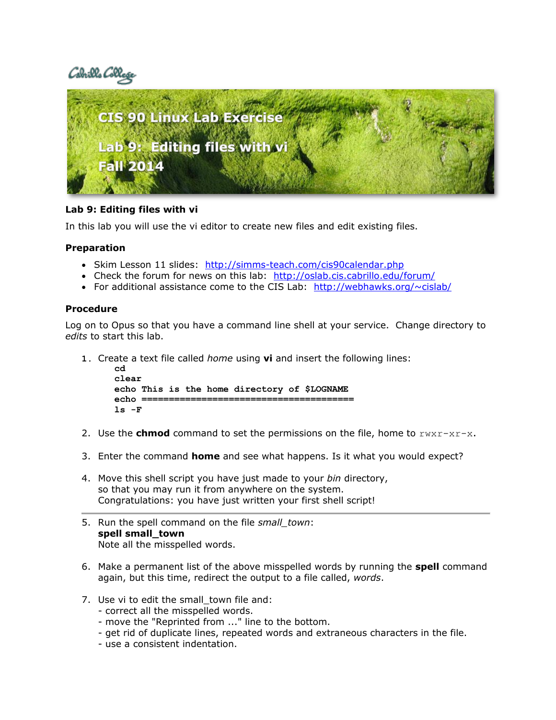# Cabrills Coll



## **Lab 9: Editing files with vi**

In this lab you will use the vi editor to create new files and edit existing files.

## **Preparation**

- Skim Lesson 11 slides: http://simms-teach.com/cis90calendar.php
- Check the forum for news on this lab: <http://oslab.cis.cabrillo.edu/forum/>
- For additional assistance come to the CIS Lab: http://webhawks.org/ $\sim$ cislab/

#### **Procedure**

Log on to Opus so that you have a command line shell at your service. Change directory to *edits* to start this lab.

**1.** Create a text file called *home* using **vi** and insert the following lines:

```
cd
clear
echo This is the home directory of $LOGNAME
echo =ls -F
```
- 2. Use the **chmod** command to set the permissions on the file, home to  $rwxr-xr-x$ .
- 3. Enter the command **home** and see what happens. Is it what you would expect?
- 4. Move this shell script you have just made to your *bin* directory, so that you may run it from anywhere on the system. Congratulations: you have just written your first shell script!
- 5. Run the spell command on the file *small\_town*: **spell small\_town**  Note all the misspelled words.
- 6. Make a permanent list of the above misspelled words by running the **spell** command again, but this time, redirect the output to a file called, *words*.
- 7. Use vi to edit the small town file and:
	- correct all the misspelled words.
	- move the "Reprinted from ..." line to the bottom.
	- get rid of duplicate lines, repeated words and extraneous characters in the file.
	- use a consistent indentation.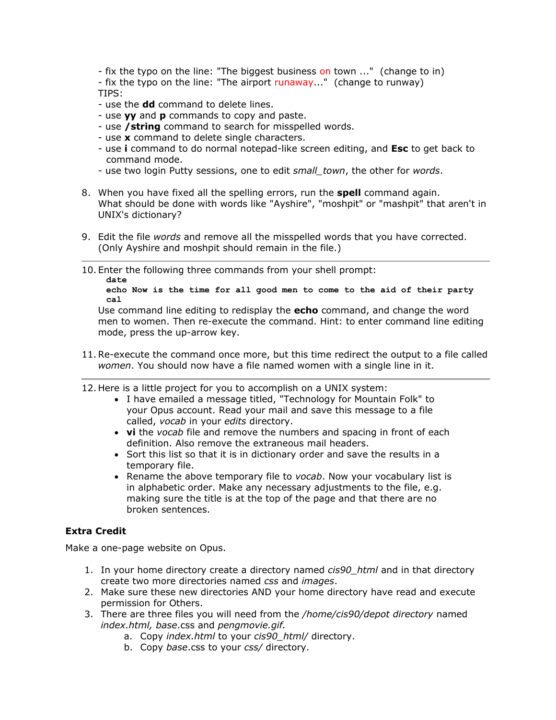- fix the typo on the line: "The biggest business on town ..." (change to in) - fix the typo on the line: "The airport runaway..." (change to runway)

TIPS:

- use the **dd** command to delete lines.
- use **yy** and **p** commands to copy and paste.
- use **/string** command to search for misspelled words.
- use **x** command to delete single characters.
- use **i** command to do normal notepad-like screen editing, and **Esc** to get back to command mode.
- use two login Putty sessions, one to edit *small\_town*, the other for *words*.
- 8. When you have fixed all the spelling errors, run the **spell** command again. What should be done with words like "Ayshire", "moshpit" or "mashpit" that aren't in UNIX's dictionary?
- 9. Edit the file *words* and remove all the misspelled words that you have corrected. (Only Ayshire and moshpit should remain in the file.)
- 10. Enter the following three commands from your shell prompt: **date**

**echo Now is the time for all good men to come to the aid of their party cal**

Use command line editing to redisplay the **echo** command, and change the word men to women. Then re-execute the command. Hint: to enter command line editing mode, press the up-arrow key.

- 11.Re-execute the command once more, but this time redirect the output to a file called *women*. You should now have a file named women with a single line in it.
- 12. Here is a little project for you to accomplish on a UNIX system:
	- I have emailed a message titled, "Technology for Mountain Folk" to your Opus account. Read your mail and save this message to a file called, *vocab* in your *edits* directory.
	- **vi** the *vocab* file and remove the numbers and spacing in front of each definition. Also remove the extraneous mail headers.
	- Sort this list so that it is in dictionary order and save the results in a temporary file.
	- Rename the above temporary file to *vocab*. Now your vocabulary list is in alphabetic order. Make any necessary adjustments to the file, e.g. making sure the title is at the top of the page and that there are no broken sentences.

## **Extra Credit**

Make a one-page website on Opus.

- 1. In your home directory create a directory named *cis90\_html* and in that directory create two more directories named *css* and *images*.
- 2. Make sure these new directories AND your home directory have read and execute permission for Others.
- 3. There are three files you will need from the */home/cis90/depot directory* named *index.html, base*.css and *pengmovie.gif.*
	- a. Copy *index.html* to your *cis90\_html/* directory.
	- b. Copy *base*.css to your *css/* directory.